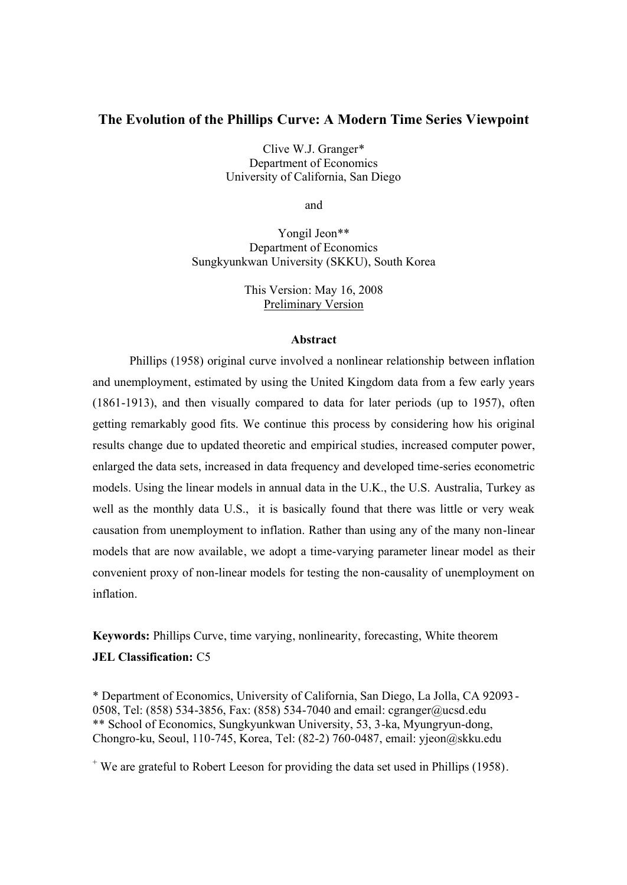# **The Evolution of the Phillips Curve: A Modern Time Series Viewpoint**

Clive W.J. Granger\* Department of Economics University of California, San Diego

and

Yongil Jeon\*\* Department of Economics Sungkyunkwan University (SKKU), South Korea

> This Version: May 16, 2008 Preliminary Version

#### **Abstract**

Phillips (1958) original curve involved a nonlinear relationship between inflation and unemployment, estimated by using the United Kingdom data from a few early years (1861-1913), and then visually compared to data for later periods (up to 1957), often getting remarkably good fits. We continue this process by considering how his original results change due to updated theoretic and empirical studies, increased computer power, enlarged the data sets, increased in data frequency and developed time-series econometric models. Using the linear models in annual data in the U.K., the U.S. Australia, Turkey as well as the monthly data U.S., it is basically found that there was little or very weak causation from unemployment to inflation. Rather than using any of the many non-linear models that are now available, we adopt a time-varying parameter linear model as their convenient proxy of non-linear models for testing the non-causality of unemployment on inflation.

**Keywords:** Phillips Curve, time varying, nonlinearity, forecasting, White theorem **JEL Classification:** C5

\* Department of Economics, University of California, San Diego, La Jolla, CA 92093 - 0508, Tel: (858) 534-3856, Fax: (858) 534-7040 and email: cgranger@ucsd.edu \*\* School of Economics, Sungkyunkwan University, 53, 3-ka, Myungryun-dong, Chongro-ku, Seoul, 110-745, Korea, Tel: (82-2) 760-0487, email: yjeon@skku.edu

+ We are grateful to Robert Leeson for providing the data set used in Phillips (1958).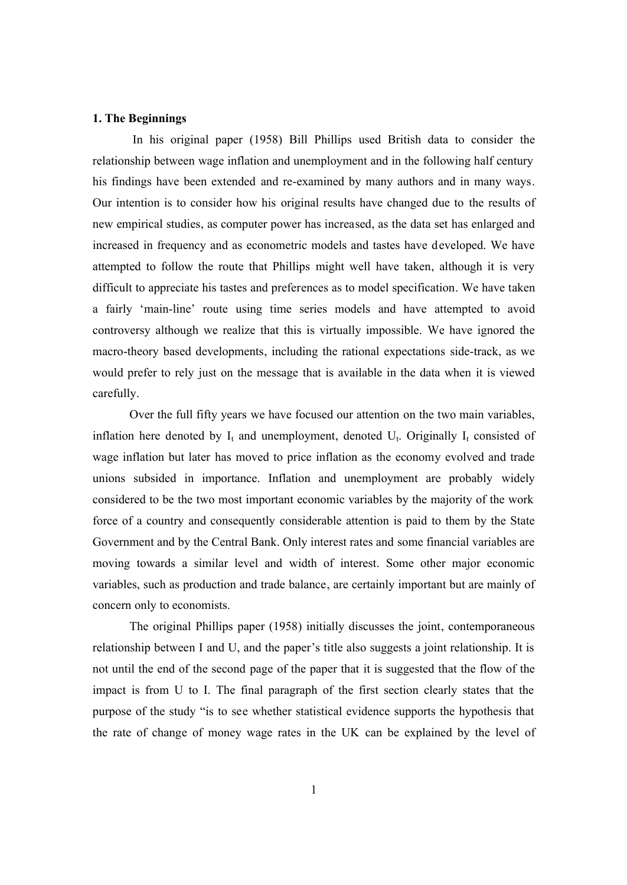#### **1. The Beginnings**

In his original paper (1958) Bill Phillips used British data to consider the relationship between wage inflation and unemployment and in the following half century his findings have been extended and re-examined by many authors and in many ways. Our intention is to consider how his original results have changed due to the results of new empirical studies, as computer power has increased, as the data set has enlarged and increased in frequency and as econometric models and tastes have developed. We have attempted to follow the route that Phillips might well have taken, although it is very difficult to appreciate his tastes and preferences as to model specification. We have taken a fairly 'main-line' route using time series models and have attempted to avoid controversy although we realize that this is virtually impossible. We have ignored the macro-theory based developments, including the rational expectations side-track, as we would prefer to rely just on the message that is available in the data when it is viewed carefully.

Over the full fifty years we have focused our attention on the two main variables, inflation here denoted by  $I_t$  and unemployment, denoted  $U_t$ . Originally  $I_t$  consisted of wage inflation but later has moved to price inflation as the economy evolved and trade unions subsided in importance. Inflation and unemployment are probably widely considered to be the two most important economic variables by the majority of the work force of a country and consequently considerable attention is paid to them by the State Government and by the Central Bank. Only interest rates and some financial variables are moving towards a similar level and width of interest. Some other major economic variables, such as production and trade balance, are certainly important but are mainly of concern only to economists.

The original Phillips paper (1958) initially discusses the joint, contemporaneous relationship between I and U, and the paper's title also suggests a joint relationship. It is not until the end of the second page of the paper that it is suggested that the flow of the impact is from U to I. The final paragraph of the first section clearly states that the purpose of the study "is to see whether statistical evidence supports the hypothesis that the rate of change of money wage rates in the UK can be explained by the level of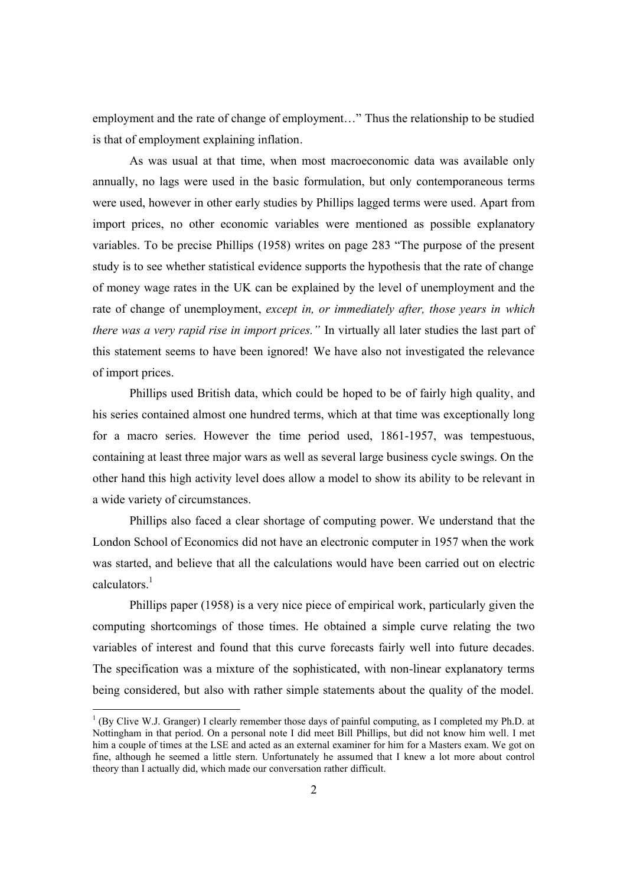employment and the rate of change of employment…" Thus the relationship to be studied is that of employment explaining inflation.

As was usual at that time, when most macroeconomic data was available only annually, no lags were used in the basic formulation, but only contemporaneous terms were used, however in other early studies by Phillips lagged terms were used. Apart from import prices, no other economic variables were mentioned as possible explanatory variables. To be precise Phillips (1958) writes on page 283 "The purpose of the present study is to see whether statistical evidence supports the hypothesis that the rate of change of money wage rates in the UK can be explained by the level of unemployment and the rate of change of unemployment, *except in, or immediately after, those years in which there was a very rapid rise in import prices."* In virtually all later studies the last part of this statement seems to have been ignored! We have also not investigated the relevance of import prices.

Phillips used British data, which could be hoped to be of fairly high quality, and his series contained almost one hundred terms, which at that time was exceptionally long for a macro series. However the time period used, 1861-1957, was tempestuous, containing at least three major wars as well as several large business cycle swings. On the other hand this high activity level does allow a model to show its ability to be relevant in a wide variety of circumstances.

Phillips also faced a clear shortage of computing power. We understand that the London School of Economics did not have an electronic computer in 1957 when the work was started, and believe that all the calculations would have been carried out on electric calculators. 1

Phillips paper (1958) is a very nice piece of empirical work, particularly given the computing shortcomings of those times. He obtained a simple curve relating the two variables of interest and found that this curve forecasts fairly well into future decades. The specification was a mixture of the sophisticated, with non-linear explanatory terms being considered, but also with rather simple statements about the quality of the model.

-

 $1$ <sup>1</sup> (By Clive W.J. Granger) I clearly remember those days of painful computing, as I completed my Ph.D. at Nottingham in that period. On a personal note I did meet Bill Phillips, but did not know him well. I met him a couple of times at the LSE and acted as an external examiner for him for a Masters exam. We got on fine, although he seemed a little stern. Unfortunately he assumed that I knew a lot more about control theory than I actually did, which made our conversation rather difficult.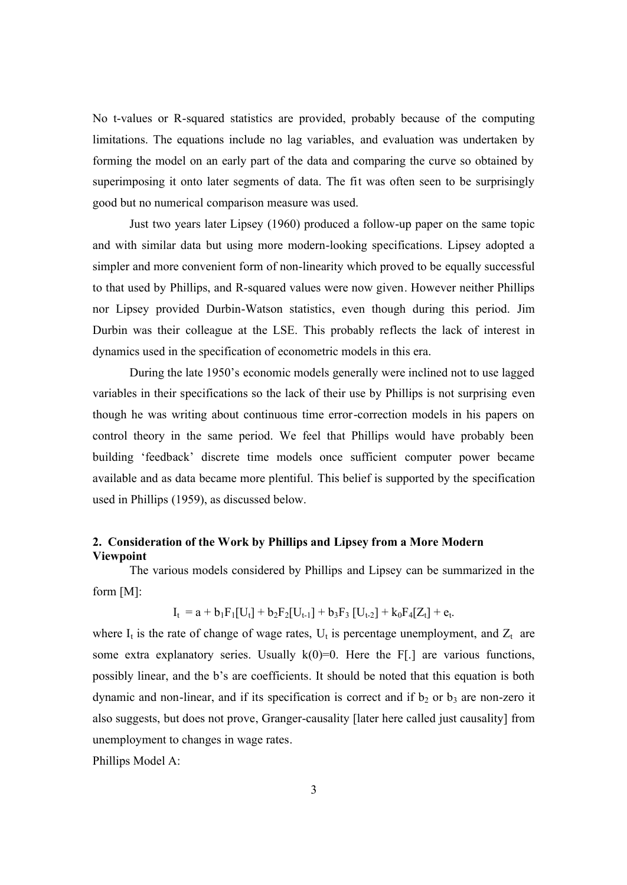No t-values or R-squared statistics are provided, probably because of the computing limitations. The equations include no lag variables, and evaluation was undertaken by forming the model on an early part of the data and comparing the curve so obtained by superimposing it onto later segments of data. The fit was often seen to be surprisingly good but no numerical comparison measure was used.

Just two years later Lipsey (1960) produced a follow-up paper on the same topic and with similar data but using more modern-looking specifications. Lipsey adopted a simpler and more convenient form of non-linearity which proved to be equally successful to that used by Phillips, and R-squared values were now given. However neither Phillips nor Lipsey provided Durbin-Watson statistics, even though during this period. Jim Durbin was their colleague at the LSE. This probably reflects the lack of interest in dynamics used in the specification of econometric models in this era.

During the late 1950's economic models generally were inclined not to use lagged variables in their specifications so the lack of their use by Phillips is not surprising even though he was writing about continuous time error-correction models in his papers on control theory in the same period. We feel that Phillips would have probably been building 'feedback' discrete time models once sufficient computer power became available and as data became more plentiful. This belief is supported by the specification used in Phillips (1959), as discussed below.

# **2. Consideration of the Work by Phillips and Lipsey from a More Modern Viewpoint**

The various models considered by Phillips and Lipsey can be summarized in the form [M]:

$$
I_t = a + b_1 F_1[U_t] + b_2 F_2[U_{t-1}] + b_3 F_3 [U_{t-2}] + k_0 F_4[Z_t] + e_t.
$$

where  $I_t$  is the rate of change of wage rates,  $U_t$  is percentage unemployment, and  $Z_t$  are some extra explanatory series. Usually  $k(0)=0$ . Here the F[.] are various functions, possibly linear, and the b's are coefficients. It should be noted that this equation is both dynamic and non-linear, and if its specification is correct and if  $b_2$  or  $b_3$  are non-zero it also suggests, but does not prove, Granger-causality [later here called just causality] from unemployment to changes in wage rates.

Phillips Model A: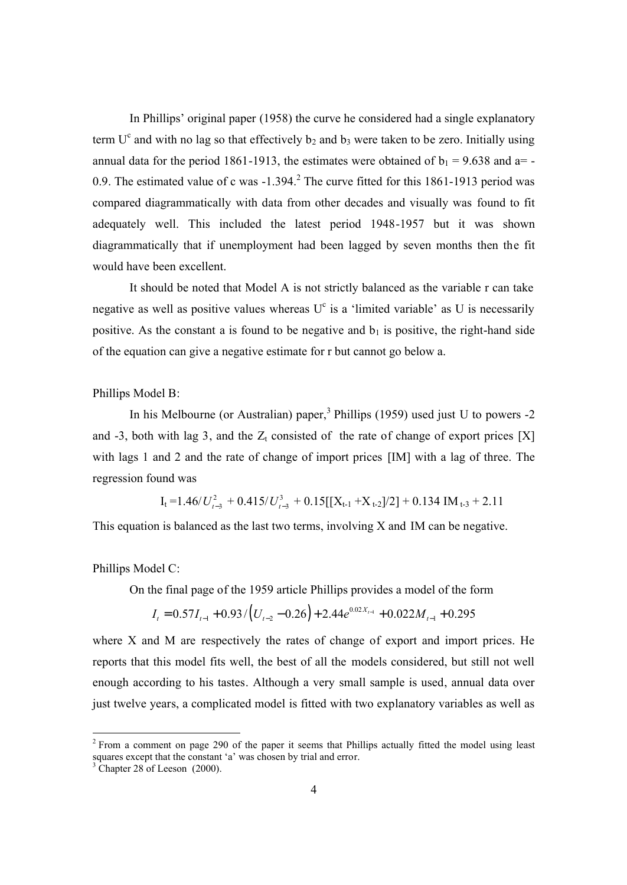In Phillips' original paper (1958) the curve he considered had a single explanatory term  $U^c$  and with no lag so that effectively  $b_2$  and  $b_3$  were taken to be zero. Initially using annual data for the period 1861-1913, the estimates were obtained of  $b_1 = 9.638$  and a=-0.9. The estimated value of c was  $-1.394$ .<sup>2</sup> The curve fitted for this 1861-1913 period was compared diagrammatically with data from other decades and visually was found to fit adequately well. This included the latest period 1948-1957 but it was shown diagrammatically that if unemployment had been lagged by seven months then the fit would have been excellent.

It should be noted that Model A is not strictly balanced as the variable r can take negative as well as positive values whereas  $U^c$  is a 'limited variable' as U is necessarily positive. As the constant a is found to be negative and  $b_1$  is positive, the right-hand side of the equation can give a negative estimate for r but cannot go below a.

Phillips Model B:

In his Melbourne (or Australian) paper,<sup>3</sup> Phillips (1959) used just U to powers  $-2$ and -3, both with lag 3, and the  $Z_t$  consisted of the rate of change of export prices [X] with lags 1 and 2 and the rate of change of import prices [IM] with a lag of three. The regression found was

 $I_t = 1.46/U_{t-3}^2 + 0.415/U_{t-3}^3 + 0.15[[X_{t-1} + X_{t-2}]/2] + 0.134 \text{ IM}_{t-3} + 2.11$ 

This equation is balanced as the last two terms, involving X and IM can be negative.

Phillips Model C:

On the final page of the 1959 article Phillips provides a model of the form

$$
I_t = 0.57I_{t-1} + 0.93/[U_{t-2} - 0.26] + 2.44e^{0.02X_{t-1}} + 0.022M_{t-1} + 0.295
$$

where X and M are respectively the rates of change of export and import prices. He reports that this model fits well, the best of all the models considered, but still not well enough according to his tastes. Although a very small sample is used, annual data over just twelve years, a complicated model is fitted with two explanatory variables as well as

-

 $2$  From a comment on page 290 of the paper it seems that Phillips actually fitted the model using least squares except that the constant 'a' was chosen by trial and error.

<sup>&</sup>lt;sup>3</sup> Chapter 28 of Leeson (2000).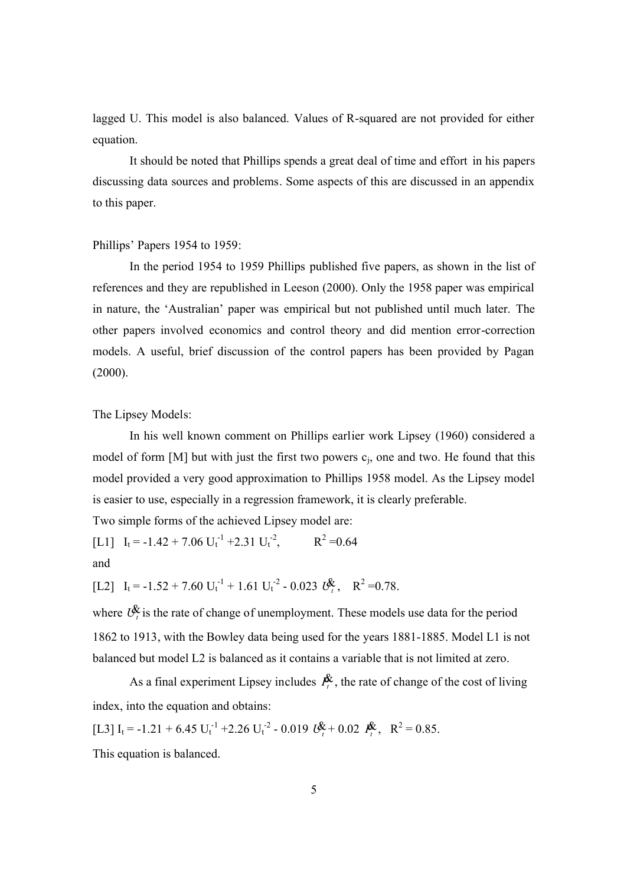lagged U. This model is also balanced. Values of R-squared are not provided for either equation.

It should be noted that Phillips spends a great deal of time and effort in his papers discussing data sources and problems. Some aspects of this are discussed in an appendix to this paper.

#### Phillips' Papers 1954 to 1959:

In the period 1954 to 1959 Phillips published five papers, as shown in the list of references and they are republished in Leeson (2000). Only the 1958 paper was empirical in nature, the 'Australian' paper was empirical but not published until much later. The other papers involved economics and control theory and did mention error-correction models. A useful, brief discussion of the control papers has been provided by Pagan (2000).

The Lipsey Models:

In his well known comment on Phillips earlier work Lipsey (1960) considered a model of form [M] but with just the first two powers  $c_i$ , one and two. He found that this model provided a very good approximation to Phillips 1958 model. As the Lipsey model is easier to use, especially in a regression framework, it is clearly preferable.

Two simple forms of the achieved Lipsey model are:

[L1]  $I_t = -1.42 + 7.06 U_t^{-1} + 2.31 U_t^{-2}$ ,  $R^2 = 0.64$ and

[L2]  $I_t = -1.52 + 7.60 U_t^{-1} + 1.61 U_t^{-2} - 0.023 U_t^2$ ,  $R^2 = 0.78$ .

where  $U^{\mathcal{R}}_{t}$  is the rate of change of unemployment. These models use data for the period 1862 to 1913, with the Bowley data being used for the years 1881-1885. Model L1 is not balanced but model L2 is balanced as it contains a variable that is not limited at zero.

As a final experiment Lipsey includes  $P_t^{\chi}$ , the rate of change of the cost of living index, into the equation and obtains:

[L3]  $I_t = -1.21 + 6.45 \text{ U}_t^{-1} + 2.26 \text{ U}_t^{-2} - 0.019 \text{ U}_t^2 + 0.02 \text{ P}_t^2$ ,  $R^2 = 0.85$ .

This equation is balanced.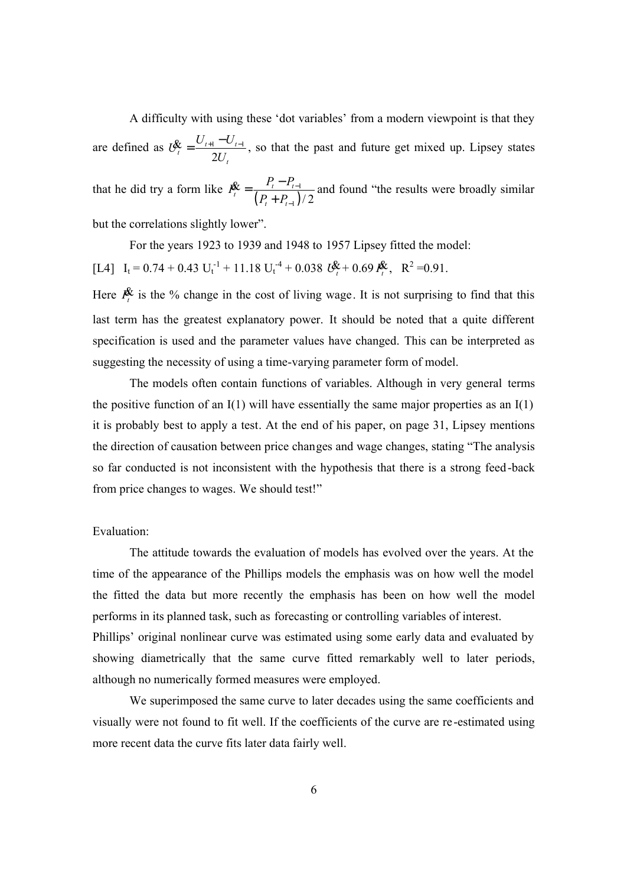A difficulty with using these 'dot variables' from a modern viewpoint is that they are defined as  $U_t^{\mathbf{k}} = \frac{U_{t+1} - U_{t-1}}{2}$ 2  $\frac{\partial}{\partial t} = \frac{U_{t+1} - U_t}{2U_t}$ *t*  $U_t^{\ell} = \frac{U_{t+1} - U}{2}$ *U*  $\oint_{t} = \frac{U_{t+1} - U_{t-1}}{2\pi\sigma_{t}}$ , so that the past and future get mixed up. Lipsey states that he did try a form like  $P_t^{\mathbf{X}} = \frac{P_t - P_{t-1}}{(P_t + P_{t-1})}$  $_{1})/2$  $\frac{\mathbf{x}}{t} = \frac{\mathbf{r}_t - \mathbf{r}_t}{\left(\mathbf{p}_t - \mathbf{p}_t\right)}$ *t t*  $P_t^{\mathcal{X}} = \frac{P_t - P_t}{P_t}$  $P_{t} + P_{t}$ − −  $=\frac{P_t - P_t}{\sqrt{P_t - P_t}}$ +  $\mathbf{\hat{x}} = \frac{P_t - P_{t-1}}{2}$  and found "the results were broadly similar but the correlations slightly lower".

For the years 1923 to 1939 and 1948 to 1957 Lipsey fitted the model:  $[L4]$   $I_t = 0.74 + 0.43$   $U_t^{-1} + 11.18$   $U_t^{-4} + 0.038$   $U_t^{*} + 0.69$   $I_t^{*}$ ,  $R^2 = 0.91$ .

Here  $P_t^{\chi}$  is the % change in the cost of living wage. It is not surprising to find that this last term has the greatest explanatory power. It should be noted that a quite different specification is used and the parameter values have changed. This can be interpreted as suggesting the necessity of using a time-varying parameter form of model.

The models often contain functions of variables. Although in very general terms the positive function of an I(1) will have essentially the same major properties as an I(1) it is probably best to apply a test. At the end of his paper, on page 31, Lipsey mentions the direction of causation between price changes and wage changes, stating "The analysis so far conducted is not inconsistent with the hypothesis that there is a strong feed-back from price changes to wages. We should test!"

Evaluation:

The attitude towards the evaluation of models has evolved over the years. At the time of the appearance of the Phillips models the emphasis was on how well the model the fitted the data but more recently the emphasis has been on how well the model performs in its planned task, such as forecasting or controlling variables of interest. Phillips' original nonlinear curve was estimated using some early data and evaluated by showing diametrically that the same curve fitted remarkably well to later periods, although no numerically formed measures were employed.

We superimposed the same curve to later decades using the same coefficients and visually were not found to fit well. If the coefficients of the curve are re-estimated using more recent data the curve fits later data fairly well.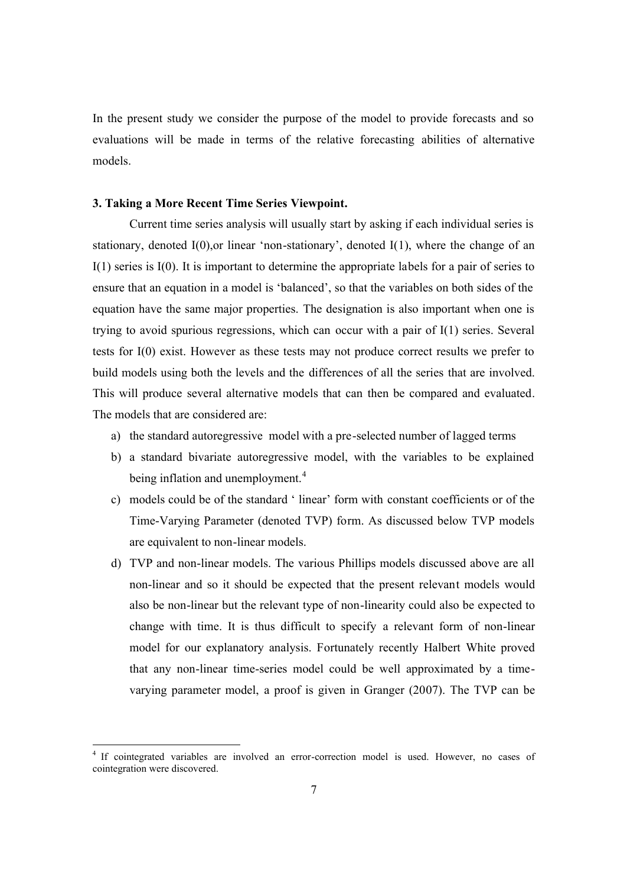In the present study we consider the purpose of the model to provide forecasts and so evaluations will be made in terms of the relative forecasting abilities of alternative models.

#### **3. Taking a More Recent Time Series Viewpoint.**

Current time series analysis will usually start by asking if each individual series is stationary, denoted I(0),or linear 'non-stationary', denoted I(1), where the change of an I(1) series is I(0). It is important to determine the appropriate labels for a pair of series to ensure that an equation in a model is 'balanced', so that the variables on both sides of the equation have the same major properties. The designation is also important when one is trying to avoid spurious regressions, which can occur with a pair of I(1) series. Several tests for I(0) exist. However as these tests may not produce correct results we prefer to build models using both the levels and the differences of all the series that are involved. This will produce several alternative models that can then be compared and evaluated. The models that are considered are:

- a) the standard autoregressive model with a pre-selected number of lagged terms
- b) a standard bivariate autoregressive model, with the variables to be explained being inflation and unemployment.<sup>4</sup>
- c) models could be of the standard ' linear' form with constant coefficients or of the Time-Varying Parameter (denoted TVP) form. As discussed below TVP models are equivalent to non-linear models.
- d) TVP and non-linear models. The various Phillips models discussed above are all non-linear and so it should be expected that the present relevant models would also be non-linear but the relevant type of non-linearity could also be expected to change with time. It is thus difficult to specify a relevant form of non-linear model for our explanatory analysis. Fortunately recently Halbert White proved that any non-linear time-series model could be well approximated by a timevarying parameter model, a proof is given in Granger (2007). The TVP can be

-

<sup>&</sup>lt;sup>4</sup> If cointegrated variables are involved an error-correction model is used. However, no cases of cointegration were discovered.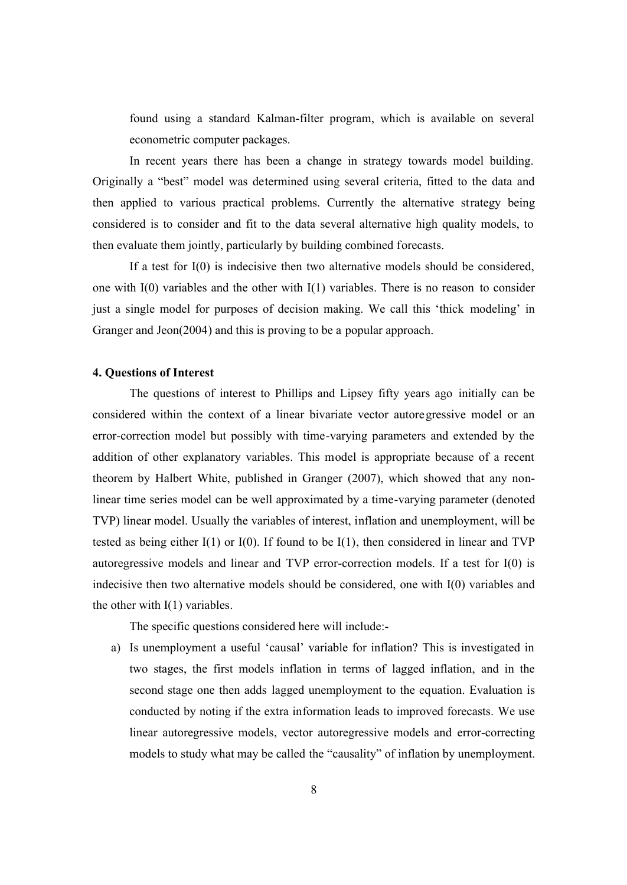found using a standard Kalman-filter program, which is available on several econometric computer packages.

In recent years there has been a change in strategy towards model building. Originally a "best" model was determined using several criteria, fitted to the data and then applied to various practical problems. Currently the alternative strategy being considered is to consider and fit to the data several alternative high quality models, to then evaluate them jointly, particularly by building combined forecasts.

If a test for I(0) is indecisive then two alternative models should be considered, one with I(0) variables and the other with I(1) variables. There is no reason to consider just a single model for purposes of decision making. We call this 'thick modeling' in Granger and Jeon(2004) and this is proving to be a popular approach.

#### **4. Questions of Interest**

The questions of interest to Phillips and Lipsey fifty years ago initially can be considered within the context of a linear bivariate vector autoregressive model or an error-correction model but possibly with time-varying parameters and extended by the addition of other explanatory variables. This model is appropriate because of a recent theorem by Halbert White, published in Granger (2007), which showed that any nonlinear time series model can be well approximated by a time-varying parameter (denoted TVP) linear model. Usually the variables of interest, inflation and unemployment, will be tested as being either I(1) or I(0). If found to be I(1), then considered in linear and TVP autoregressive models and linear and TVP error-correction models. If a test for I(0) is indecisive then two alternative models should be considered, one with I(0) variables and the other with  $I(1)$  variables.

The specific questions considered here will include:-

a) Is unemployment a useful 'causal' variable for inflation? This is investigated in two stages, the first models inflation in terms of lagged inflation, and in the second stage one then adds lagged unemployment to the equation. Evaluation is conducted by noting if the extra information leads to improved forecasts. We use linear autoregressive models, vector autoregressive models and error-correcting models to study what may be called the "causality" of inflation by unemployment.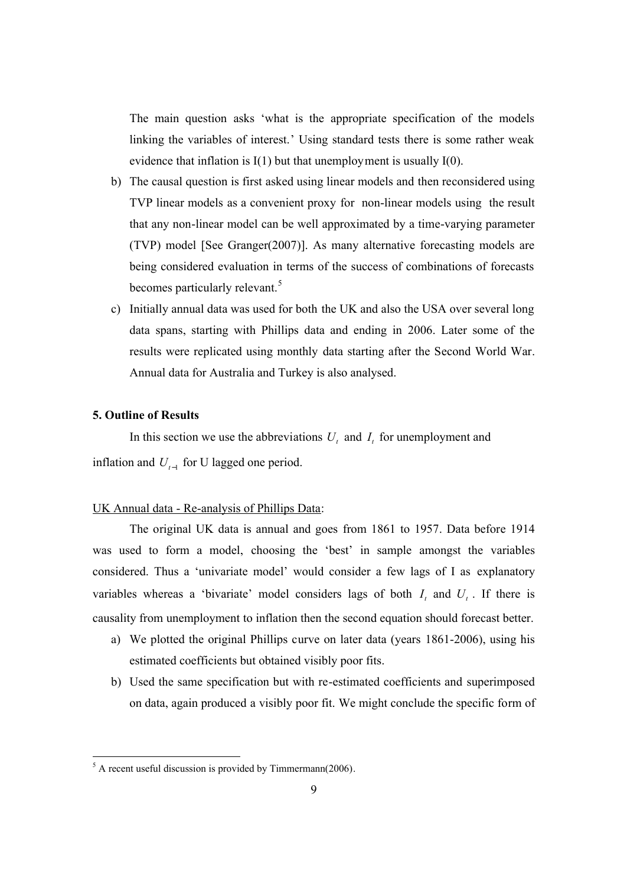The main question asks 'what is the appropriate specification of the models linking the variables of interest.' Using standard tests there is some rather weak evidence that inflation is  $I(1)$  but that unemployment is usually  $I(0)$ .

- b) The causal question is first asked using linear models and then reconsidered using TVP linear models as a convenient proxy for non-linear models using the result that any non-linear model can be well approximated by a time-varying parameter (TVP) model [See Granger(2007)]. As many alternative forecasting models are being considered evaluation in terms of the success of combinations of forecasts becomes particularly relevant.<sup>5</sup>
- c) Initially annual data was used for both the UK and also the USA over several long data spans, starting with Phillips data and ending in 2006. Later some of the results were replicated using monthly data starting after the Second World War. Annual data for Australia and Turkey is also analysed.

### **5. Outline of Results**

-

In this section we use the abbreviations  $U_t$  and  $I_t$  for unemployment and inflation and  $U_{t-1}$  for U lagged one period.

#### UK Annual data - Re-analysis of Phillips Data:

The original UK data is annual and goes from 1861 to 1957. Data before 1914 was used to form a model, choosing the 'best' in sample amongst the variables considered. Thus a 'univariate model' would consider a few lags of I as explanatory variables whereas a 'bivariate' model considers lags of both  $I_t$  and  $U_t$ . If there is causality from unemployment to inflation then the second equation should forecast better.

- a) We plotted the original Phillips curve on later data (years 1861-2006), using his estimated coefficients but obtained visibly poor fits.
- b) Used the same specification but with re-estimated coefficients and superimposed on data, again produced a visibly poor fit. We might conclude the specific form of

 $<sup>5</sup>$  A recent useful discussion is provided by Timmermann(2006).</sup>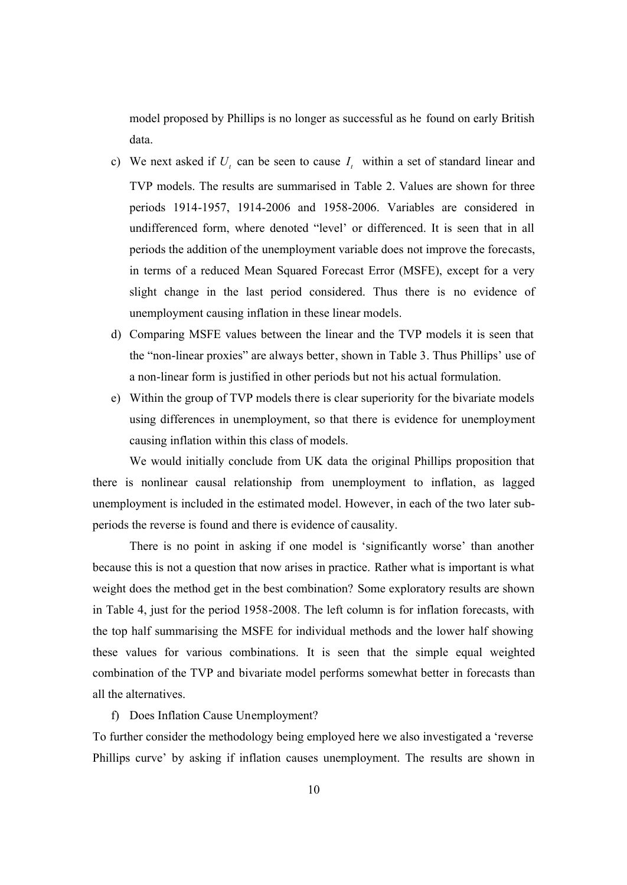model proposed by Phillips is no longer as successful as he found on early British data.

- c) We next asked if  $U_t$  can be seen to cause  $I_t$  within a set of standard linear and TVP models. The results are summarised in Table 2. Values are shown for three periods 1914-1957, 1914-2006 and 1958-2006. Variables are considered in undifferenced form, where denoted "level' or differenced. It is seen that in all periods the addition of the unemployment variable does not improve the forecasts, in terms of a reduced Mean Squared Forecast Error (MSFE), except for a very slight change in the last period considered. Thus there is no evidence of unemployment causing inflation in these linear models.
- d) Comparing MSFE values between the linear and the TVP models it is seen that the "non-linear proxies" are always better, shown in Table 3. Thus Phillips' use of a non-linear form is justified in other periods but not his actual formulation.
- e) Within the group of TVP models there is clear superiority for the bivariate models using differences in unemployment, so that there is evidence for unemployment causing inflation within this class of models.

We would initially conclude from UK data the original Phillips proposition that there is nonlinear causal relationship from unemployment to inflation, as lagged unemployment is included in the estimated model. However, in each of the two later subperiods the reverse is found and there is evidence of causality.

There is no point in asking if one model is 'significantly worse' than another because this is not a question that now arises in practice. Rather what is important is what weight does the method get in the best combination? Some exploratory results are shown in Table 4, just for the period 1958-2008. The left column is for inflation forecasts, with the top half summarising the MSFE for individual methods and the lower half showing these values for various combinations. It is seen that the simple equal weighted combination of the TVP and bivariate model performs somewhat better in forecasts than all the alternatives.

f) Does Inflation Cause Unemployment?

To further consider the methodology being employed here we also investigated a 'reverse Phillips curve' by asking if inflation causes unemployment. The results are shown in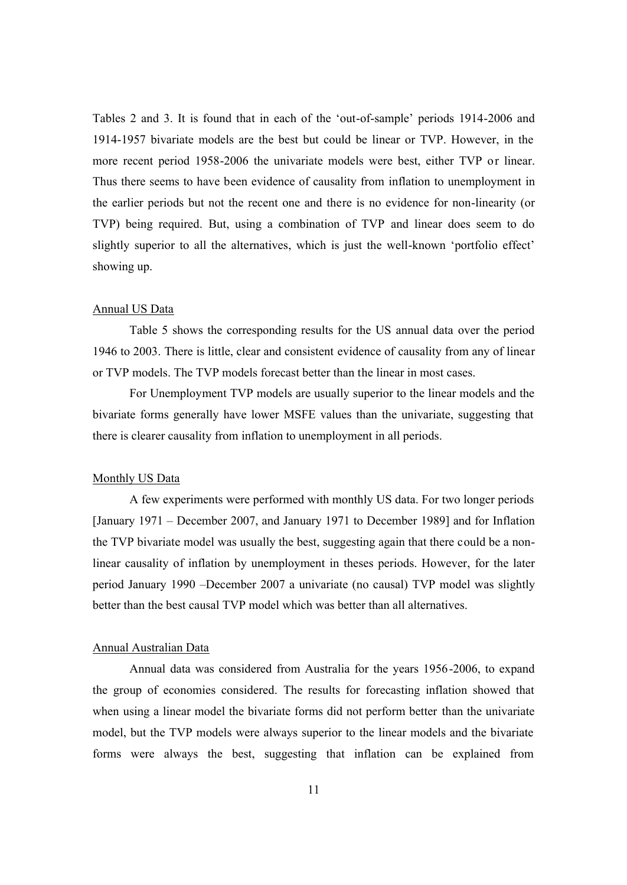Tables 2 and 3. It is found that in each of the 'out-of-sample' periods 1914-2006 and 1914-1957 bivariate models are the best but could be linear or TVP. However, in the more recent period 1958-2006 the univariate models were best, either TVP or linear. Thus there seems to have been evidence of causality from inflation to unemployment in the earlier periods but not the recent one and there is no evidence for non-linearity (or TVP) being required. But, using a combination of TVP and linear does seem to do slightly superior to all the alternatives, which is just the well-known 'portfolio effect' showing up.

#### Annual US Data

Table 5 shows the corresponding results for the US annual data over the period 1946 to 2003. There is little, clear and consistent evidence of causality from any of linear or TVP models. The TVP models forecast better than the linear in most cases.

For Unemployment TVP models are usually superior to the linear models and the bivariate forms generally have lower MSFE values than the univariate, suggesting that there is clearer causality from inflation to unemployment in all periods.

#### Monthly US Data

A few experiments were performed with monthly US data. For two longer periods [January 1971 – December 2007, and January 1971 to December 1989] and for Inflation the TVP bivariate model was usually the best, suggesting again that there could be a nonlinear causality of inflation by unemployment in theses periods. However, for the later period January 1990 –December 2007 a univariate (no causal) TVP model was slightly better than the best causal TVP model which was better than all alternatives.

#### Annual Australian Data

Annual data was considered from Australia for the years 1956-2006, to expand the group of economies considered. The results for forecasting inflation showed that when using a linear model the bivariate forms did not perform better than the univariate model, but the TVP models were always superior to the linear models and the bivariate forms were always the best, suggesting that inflation can be explained from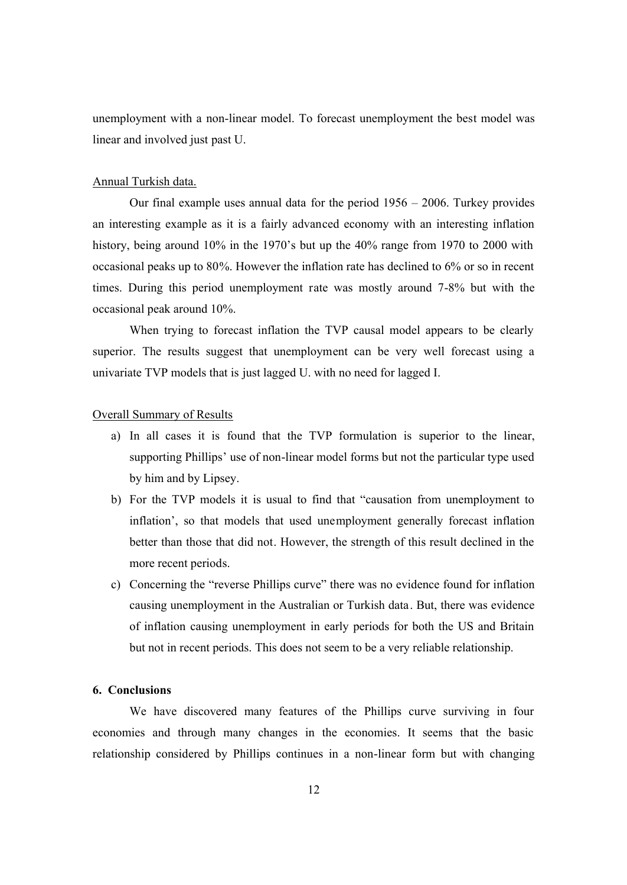unemployment with a non-linear model. To forecast unemployment the best model was linear and involved just past U.

#### Annual Turkish data.

Our final example uses annual data for the period 1956 – 2006. Turkey provides an interesting example as it is a fairly advanced economy with an interesting inflation history, being around 10% in the 1970's but up the 40% range from 1970 to 2000 with occasional peaks up to 80%. However the inflation rate has declined to 6% or so in recent times. During this period unemployment rate was mostly around 7-8% but with the occasional peak around 10%.

When trying to forecast inflation the TVP causal model appears to be clearly superior. The results suggest that unemployment can be very well forecast using a univariate TVP models that is just lagged U. with no need for lagged I.

#### Overall Summary of Results

- a) In all cases it is found that the TVP formulation is superior to the linear, supporting Phillips' use of non-linear model forms but not the particular type used by him and by Lipsey.
- b) For the TVP models it is usual to find that "causation from unemployment to inflation', so that models that used unemployment generally forecast inflation better than those that did not. However, the strength of this result declined in the more recent periods.
- c) Concerning the "reverse Phillips curve" there was no evidence found for inflation causing unemployment in the Australian or Turkish data. But, there was evidence of inflation causing unemployment in early periods for both the US and Britain but not in recent periods. This does not seem to be a very reliable relationship.

#### **6. Conclusions**

We have discovered many features of the Phillips curve surviving in four economies and through many changes in the economies. It seems that the basic relationship considered by Phillips continues in a non-linear form but with changing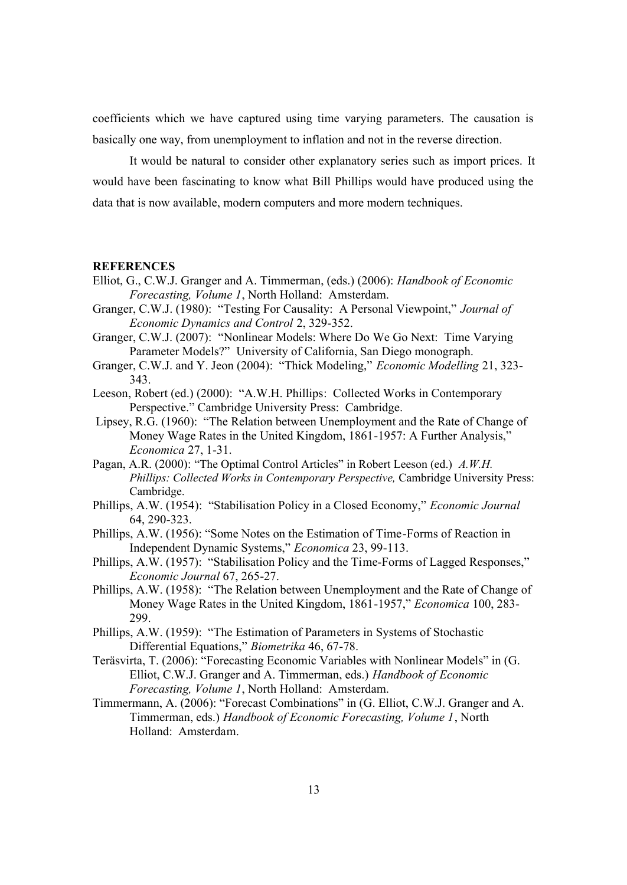coefficients which we have captured using time varying parameters. The causation is basically one way, from unemployment to inflation and not in the reverse direction.

It would be natural to consider other explanatory series such as import prices. It would have been fascinating to know what Bill Phillips would have produced using the data that is now available, modern computers and more modern techniques.

#### **REFERENCES**

- Elliot, G., C.W.J. Granger and A. Timmerman, (eds.) (2006): *Handbook of Economic Forecasting, Volume 1*, North Holland: Amsterdam.
- Granger, C.W.J. (1980): "Testing For Causality: A Personal Viewpoint," *Journal of Economic Dynamics and Control* 2, 329-352.
- Granger, C.W.J. (2007): "Nonlinear Models: Where Do We Go Next: Time Varying Parameter Models?" University of California, San Diego monograph.
- Granger, C.W.J. and Y. Jeon (2004): "Thick Modeling," *Economic Modelling* 21, 323- 343.
- Leeson, Robert (ed.) (2000): "A.W.H. Phillips: Collected Works in Contemporary Perspective." Cambridge University Press: Cambridge.
- Lipsey, R.G. (1960): "The Relation between Unemployment and the Rate of Change of Money Wage Rates in the United Kingdom, 1861-1957: A Further Analysis," *Economica* 27, 1-31.
- Pagan, A.R. (2000): "The Optimal Control Articles" in Robert Leeson (ed.) *A.W.H. Phillips: Collected Works in Contemporary Perspective, Cambridge University Press:* Cambridge.
- Phillips, A.W. (1954): "Stabilisation Policy in a Closed Economy," *Economic Journal* 64, 290-323.
- Phillips, A.W. (1956): "Some Notes on the Estimation of Time-Forms of Reaction in Independent Dynamic Systems," *Economica* 23, 99-113.
- Phillips, A.W. (1957): "Stabilisation Policy and the Time-Forms of Lagged Responses," *Economic Journal* 67, 265-27.
- Phillips, A.W. (1958): "The Relation between Unemployment and the Rate of Change of Money Wage Rates in the United Kingdom, 1861-1957," *Economica* 100, 283- 299.
- Phillips, A.W. (1959): "The Estimation of Parameters in Systems of Stochastic Differential Equations," *Biometrika* 46, 67-78.
- Teräsvirta, T. (2006): "Forecasting Economic Variables with Nonlinear Models" in (G. Elliot, C.W.J. Granger and A. Timmerman, eds.) *Handbook of Economic Forecasting, Volume 1*, North Holland: Amsterdam.
- Timmermann, A. (2006): "Forecast Combinations" in (G. Elliot, C.W.J. Granger and A. Timmerman, eds.) *Handbook of Economic Forecasting, Volume 1*, North Holland: Amsterdam.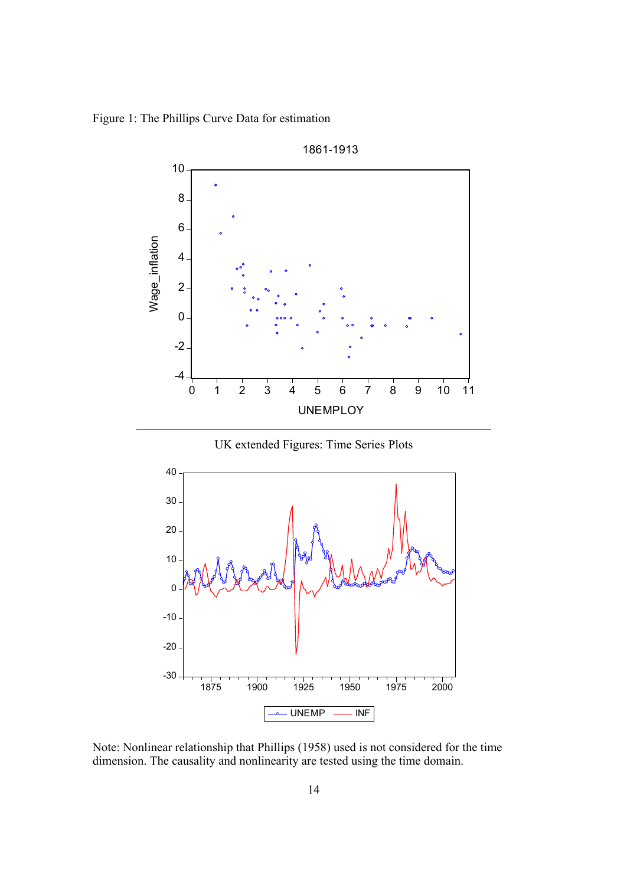Figure 1: The Phillips Curve Data for estimation



Note: Nonlinear relationship that Phillips (1958) used is not considered for the time dimension. The causality and nonlinearity are tested using the time domain.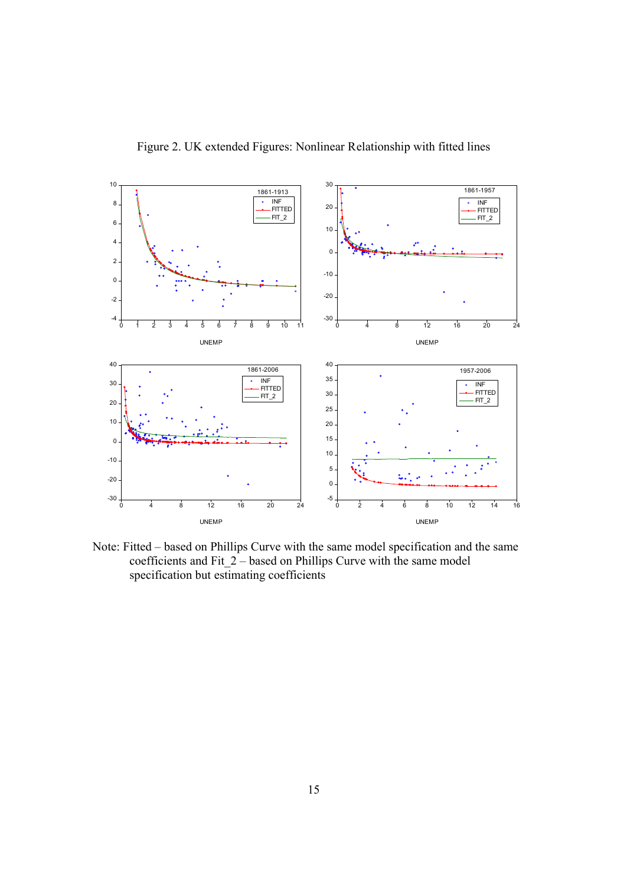

Figure 2. UK extended Figures: Nonlinear Relationship with fitted lines

Note: Fitted – based on Phillips Curve with the same model specification and the same coefficients and Fit  $2$  – based on Phillips Curve with the same model specification but estimating coefficients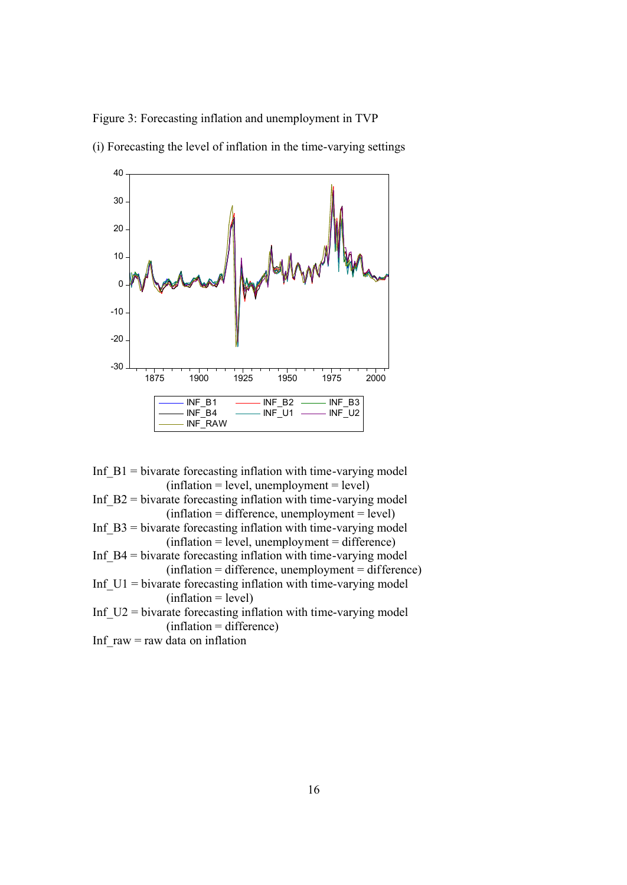Figure 3: Forecasting inflation and unemployment in TVP



(i) Forecasting the level of inflation in the time-varying settings

Inf  $B1$  = bivarate forecasting inflation with time-varying model  $(inflation = level, un employment = level)$ 

Inf  $B2$  = bivarate forecasting inflation with time-varying model  $(inflation = difference, un employment = level)$ 

- Inf  $B3$  = bivarate forecasting inflation with time-varying model  $(inflation = level, un employment = difference)$
- Inf  $B4$  = bivarate forecasting inflation with time-varying model (inflation = difference, unemployment = difference)
- Inf\_U1 = bivarate forecasting inflation with time-varying model  $(inflation = level)$
- Inf  $U2$  = bivarate forecasting inflation with time-varying model (inflation = difference)
- Inf  $raw = raw$  data on inflation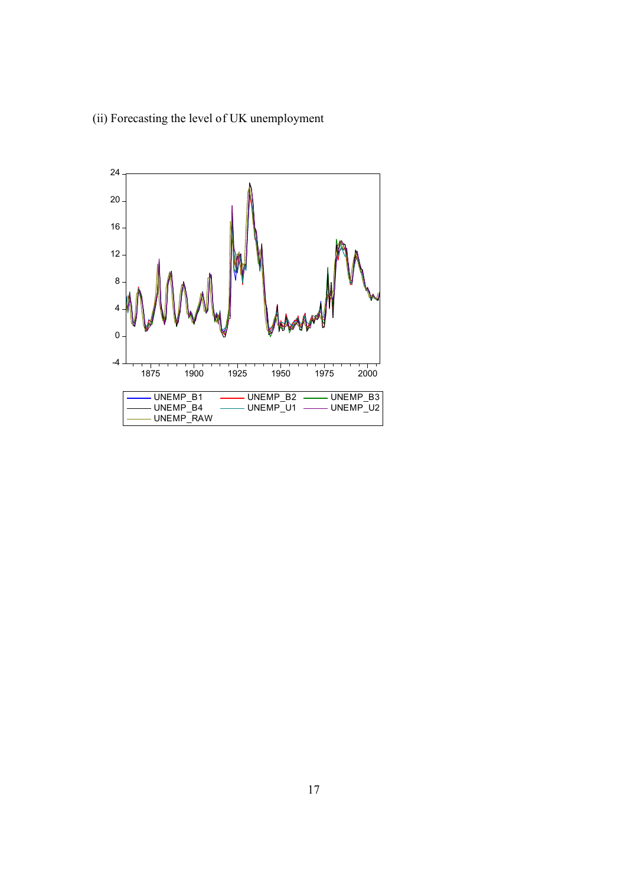(ii) Forecasting the level of UK unemployment

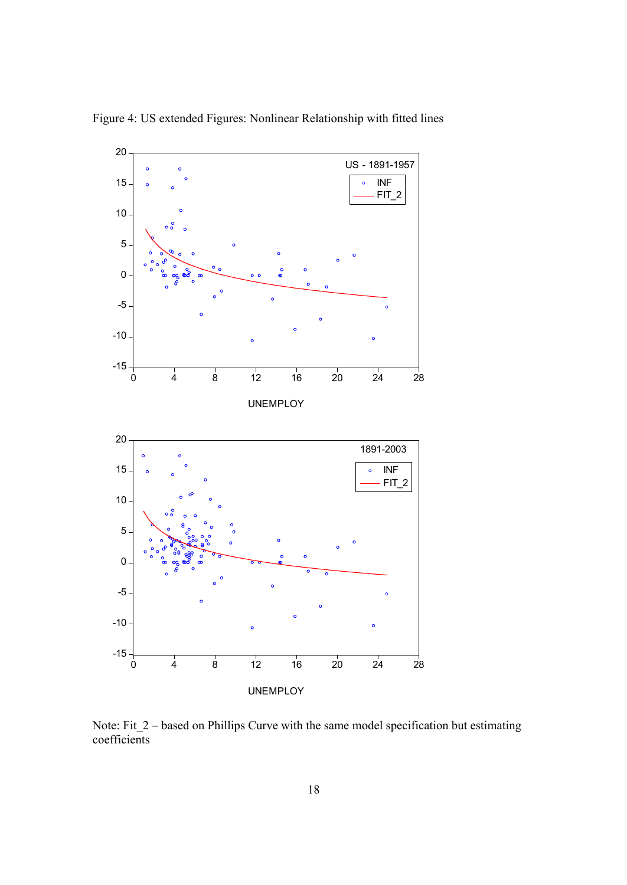

Figure 4: US extended Figures: Nonlinear Relationship with fitted lines

Note: Fit\_2 – based on Phillips Curve with the same model specification but estimating coefficients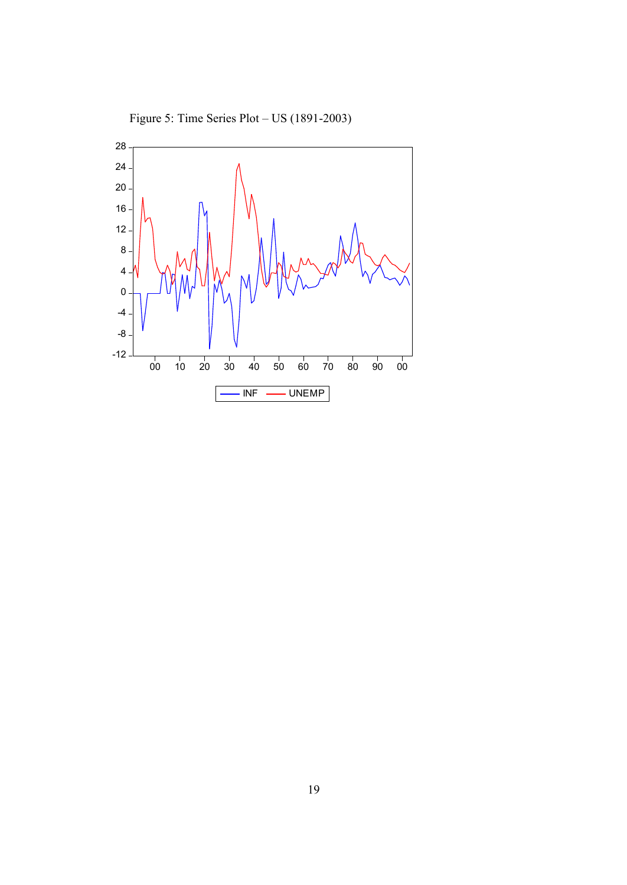

Figure 5: Time Series Plot – US (1891-2003)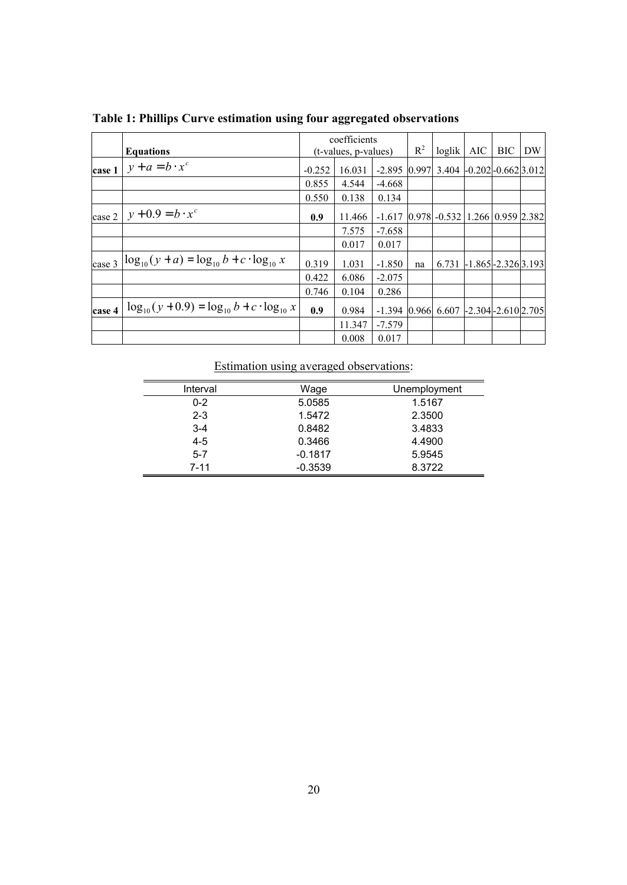|        |                                                        |                      | coefficients |                                                     |       |                             |                           |            |    |
|--------|--------------------------------------------------------|----------------------|--------------|-----------------------------------------------------|-------|-----------------------------|---------------------------|------------|----|
|        | <b>Equations</b>                                       | (t-values, p-values) |              |                                                     | $R^2$ | loglik                      | AIC                       | <b>BIC</b> | DW |
| case 1 | $y + a = b \cdot x^c$                                  | $-0.252$             | 16.031       | $-2.895$ 0.997                                      |       | $3.404$ -0.202 -0.662 3.012 |                           |            |    |
|        |                                                        | 0.855                | 4.544        | $-4.668$                                            |       |                             |                           |            |    |
|        |                                                        | 0.550                | 0.138        | 0.134                                               |       |                             |                           |            |    |
| case 2 | $y + 0.9 = b \cdot x^c$                                | 0.9                  | 11.466       | $-1.617$   0.978   $-0.532$   1.266   0.959   2.382 |       |                             |                           |            |    |
|        |                                                        |                      | 7.575        | $-7.658$                                            |       |                             |                           |            |    |
|        |                                                        |                      | 0.017        | 0.017                                               |       |                             |                           |            |    |
| case 3 | $\log_{10}(y + a) = \log_{10} b + c \cdot \log_{10} x$ | 0.319                | 1.031        | $-1.850$                                            | na    | 6.731                       | $-1.865$ $-2.326$ $3.193$ |            |    |
|        |                                                        | 0.422                | 6.086        | $-2.075$                                            |       |                             |                           |            |    |
|        |                                                        | 0.746                | 0.104        | 0.286                                               |       |                             |                           |            |    |
| case 4 | $\log_{10}(y+0.9) = \log_{10} b + c \cdot \log_{10} x$ | 0.9                  | 0.984        | $-1.394$ 0.966 6.607 -2.304 - 2.610 2.705           |       |                             |                           |            |    |
|        |                                                        |                      | 11.347       | $-7.579$                                            |       |                             |                           |            |    |
|        |                                                        |                      | 0.008        | 0.017                                               |       |                             |                           |            |    |

**Table 1: Phillips Curve estimation using four aggregated observations**

# Estimation using averaged observations:

| Interval | Wage      | Unemployment |
|----------|-----------|--------------|
| $0 - 2$  | 5.0585    | 1.5167       |
| $2 - 3$  | 1.5472    | 2.3500       |
| $3 - 4$  | 0.8482    | 3.4833       |
| $4 - 5$  | 0.3466    | 4.4900       |
| $5 - 7$  | $-0.1817$ | 5.9545       |
| $7 - 11$ | $-0.3539$ | 8.3722       |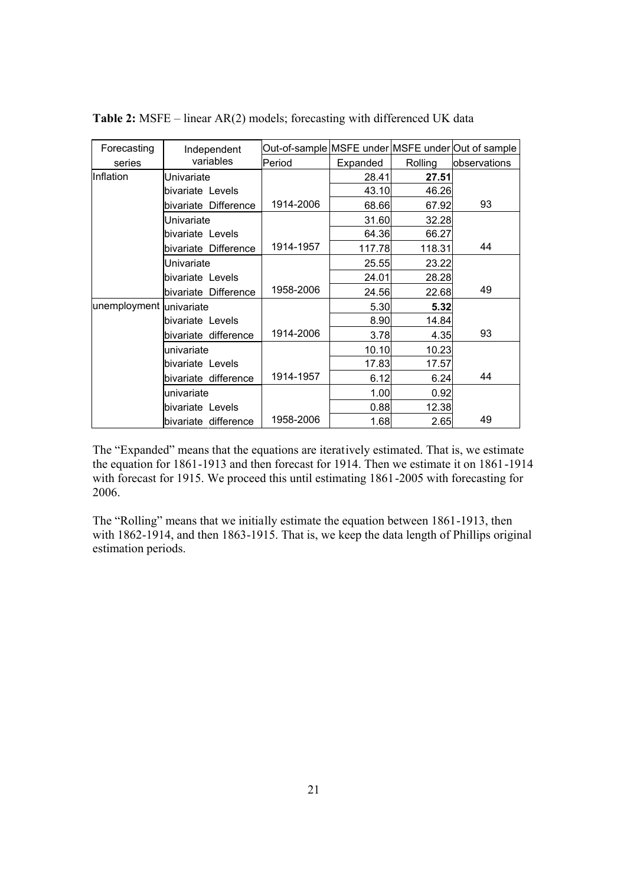| Forecasting             | Independent          |           |          |         | Out-of-sample MSFE under MSFE under Out of sample |
|-------------------------|----------------------|-----------|----------|---------|---------------------------------------------------|
| series                  | variables            | Period    | Expanded | Rolling | <b>lobservations</b>                              |
| Inflation               | Univariate           |           | 28.41    | 27.51   |                                                   |
|                         | bivariate Levels     |           | 43.10    | 46.26   |                                                   |
|                         | bivariate Difference | 1914-2006 | 68.66    | 67.92   | 93                                                |
|                         | Univariate           |           | 31.60    | 32.28   |                                                   |
|                         | bivariate Levels     |           | 64.36    | 66.27   |                                                   |
|                         | bivariate Difference | 1914-1957 | 117.78   | 118.31  | 44                                                |
|                         | Univariate           |           | 25.55    | 23.22   |                                                   |
|                         | bivariate Levels     |           | 24.01    | 28.28   |                                                   |
|                         | bivariate Difference | 1958-2006 | 24.56    | 22.68   | 49                                                |
| unemployment univariate |                      |           | 5.30     | 5.32    |                                                   |
|                         | bivariate Levels     |           | 8.90     | 14.84   |                                                   |
|                         | bivariate difference | 1914-2006 | 3.78     | 4.35    | 93                                                |
|                         | univariate           |           | 10.10    | 10.23   |                                                   |
|                         | bivariate Levels     |           | 17.83    | 17.57   |                                                   |
|                         | bivariate difference | 1914-1957 | 6.12     | 6.24    | 44                                                |
|                         | univariate           |           | 1.00     | 0.92    |                                                   |
|                         | bivariate Levels     |           | 0.88     | 12.38   |                                                   |
|                         | bivariate difference | 1958-2006 | 1.68     | 2.65    | 49                                                |

**Table 2:** MSFE – linear AR(2) models; forecasting with differenced UK data

The "Expanded" means that the equations are iteratively estimated. That is, we estimate the equation for 1861-1913 and then forecast for 1914. Then we estimate it on 1861-1914 with forecast for 1915. We proceed this until estimating 1861-2005 with forecasting for 2006.

The "Rolling" means that we initially estimate the equation between 1861-1913, then with 1862-1914, and then 1863-1915. That is, we keep the data length of Phillips original estimation periods.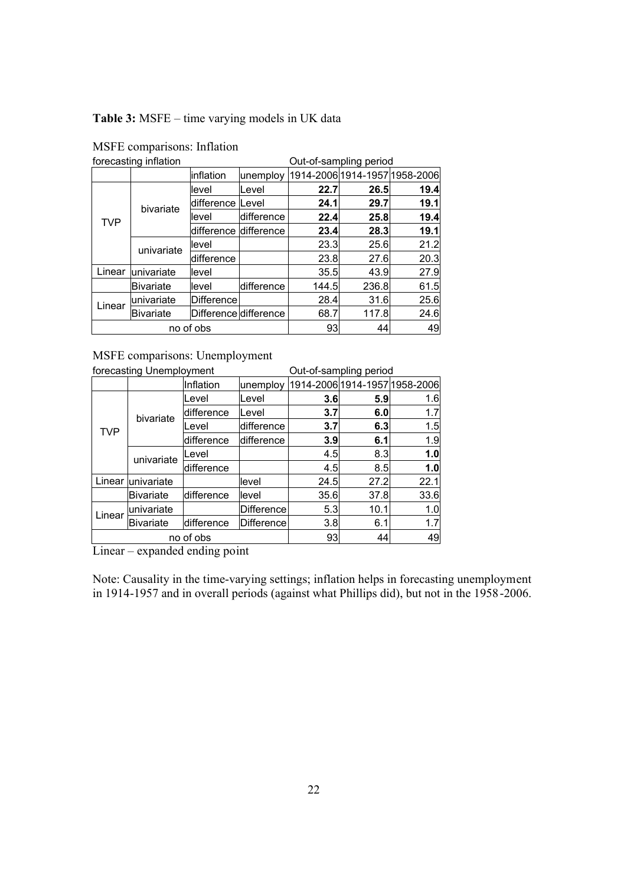# **Table 3:** MSFE – time varying models in UK data

|            | forecasting inflation      |                       | Out-of-sampling period |                               |       |      |
|------------|----------------------------|-----------------------|------------------------|-------------------------------|-------|------|
|            |                            | linflation            | unemploy               | 1914-2006 1914-1957 1958-2006 |       |      |
|            |                            | level                 | Level                  | 22.7                          | 26.5  | 19.4 |
|            | bivariate                  | ldifference           | <b>Level</b>           | 24.1                          | 29.7  | 19.1 |
| <b>TVP</b> |                            | level                 | difference             | 22.4                          | 25.8  | 19.4 |
|            |                            | difference difference |                        | 23.4                          | 28.3  | 19.1 |
|            | univariate                 | level                 |                        | 23.3                          | 25.6  | 21.2 |
|            |                            | difference            |                        | 23.8                          | 27.6  | 20.3 |
| Linear     | univariate                 | llevel                |                        | 35.5                          | 43.9  | 27.9 |
|            | <b>Bivariate</b><br>llevel |                       | difference             | 144.5                         | 236.8 | 61.5 |
| Linear     | univariate                 | Difference            |                        | 28.4                          | 31.6  | 25.6 |
|            | <b>Bivariate</b>           | Difference difference |                        | 68.7                          | 117.8 | 24.6 |
|            |                            | no of obs             | 93                     | 44                            | 49    |      |

# MSFE comparisons: Inflation

MSFE comparisons: Unemployment

|            | forecasting Unemployment |            | Out-of-sampling period |      |      |                               |
|------------|--------------------------|------------|------------------------|------|------|-------------------------------|
|            |                          | Inflation  | unemploy               |      |      | 1914-2006 1914-1957 1958-2006 |
|            |                          | Level      | Level                  | 3.6  | 5.9  | 1.6                           |
|            | bivariate                | difference | Level                  | 3.7  | 6.0  | 1.7                           |
| <b>TVP</b> |                          | Level      | difference             | 3.7  | 6.3  | 1.5                           |
|            |                          | difference | ldifference            | 3.9  | 6.1  | 1.9                           |
|            | univariate               | Level      |                        | 4.5  | 8.3  | 1.0                           |
|            |                          | difference |                        | 4.5  | 8.5  | 1.0                           |
|            | Linear univariate        |            | level                  | 24.5 | 27.2 | 22.1                          |
|            | <b>Bivariate</b>         | difference | llevel                 | 35.6 | 37.8 | 33.6                          |
| Linear     | univariate               |            | <b>Difference</b>      | 5.3  | 10.1 | 1.0                           |
|            | <b>Bivariate</b>         | difference | Difference             | 3.8  | 6.1  | 1.7                           |
|            |                          | no of obs  | 93                     | 44   | 49   |                               |

Linear – expanded ending point

Note: Causality in the time-varying settings; inflation helps in forecasting unemployment in 1914-1957 and in overall periods (against what Phillips did), but not in the 1958-2006.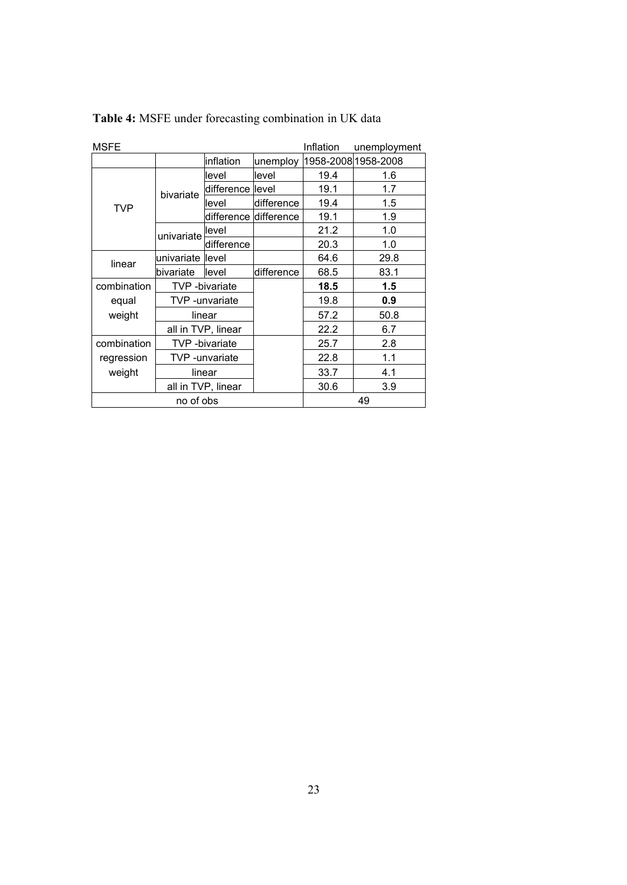| <b>MSFE</b> |                    |                       |                        | Inflation | unemployment        |  |
|-------------|--------------------|-----------------------|------------------------|-----------|---------------------|--|
|             |                    | inflation             | unemploy               |           | 1958-2008 1958-2008 |  |
|             |                    | level                 | llevel                 | 19.4      | 1.6                 |  |
|             | bivariate          | difference level      |                        | 19.1      | 1.7                 |  |
| <b>TVP</b>  |                    | level                 | difference             | 19.4      | 1.5                 |  |
|             |                    |                       | difference ldifference | 19.1      | 1.9                 |  |
|             | univariate         | llevel                |                        | 21.2      | 1.0                 |  |
|             |                    | difference            |                        | 20.3      | 1.0                 |  |
| linear      | univariate llevel  |                       |                        | 64.6      | 29.8                |  |
|             | bivariate          | llevel                | difference             | 68.5      | 83.1                |  |
| combination |                    | <b>TVP</b> -bivariate |                        | 18.5      | 1.5                 |  |
| equal       |                    | TVP -unvariate        |                        | 19.8      | 0.9                 |  |
| weight      |                    | linear                |                        | 57.2      | 50.8                |  |
|             | all in TVP, linear |                       |                        | 22.2      | 6.7                 |  |
| combination | TVP -bivariate     |                       |                        | 25.7      | 2.8                 |  |
| regression  |                    | TVP -unvariate        |                        | 22.8      | 1.1                 |  |
| weight      | linear             |                       |                        | 33.7      | 4.1                 |  |
|             |                    | all in TVP, linear    |                        | 30.6      | 3.9                 |  |
|             | no of obs          |                       |                        | 49        |                     |  |

**Table 4:** MSFE under forecasting combination in UK data